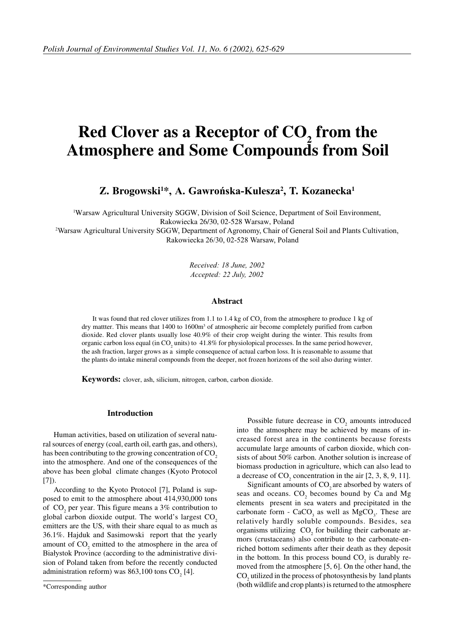# **Red Clover as a Receptor of CO<sub>2</sub> from the Atmosphere and Some Compounds from Soil**

# Z. Brogowski<sup>1\*</sup>, A. Gawrońska-Kulesza<sup>2</sup>, T. Kozanecka<sup>1</sup>

1 Warsaw Agricultural University SGGW, Division of Soil Science, Department of Soil Environment, Rakowiecka 26/30, 02-528 Warsaw, Poland <sup>2</sup>Warsaw Agricultural University SGGW, Department of Agronomy, Chair of General Soil and Plants Cultivation, Rakowiecka 26/30, 02-528 Warsaw, Poland

> Received: 18 June, 2002 Accepted: 22 July, 2002

#### **Abstract**

It was found that red clover utilizes from 1.1 to 1.4 kg of  $CO_2$  from the atmosphere to produce 1 kg of dry mattter. This means that 1400 to 1600m<sup>3</sup> of atmospheric air become completely purified from carbon dioxide. Red clover plants usually lose 40.9% of their crop weight during the winter. This results from organic carbon loss equal (in  $\rm CO_2$  units) to 41.8% for physiolopical processes. In the same period however, the ash fraction, larger grows as a simple consequence of actual carbon loss. It is reasonable to assume that the plants do intake mineral compounds from the deeper, not frozen horizons of the soil also during winter.

**Keywords:** clover, ash, silicium, nitrogen, carbon, carbon dioxide.

# **Introduction**

Human activities, based on utilization of several natural sources of energy (coal, earth oil, earth gas, and others), has been contributing to the growing concentration of  $CO<sub>2</sub>$ into the atmosphere. And one of the consequences of the above has been global climate changes (Kyoto Protocol [7]).

According to the Kyoto Protocol [7], Poland is supposed to emit to the atmosphere about 414,930,000 tons of  $CO<sub>2</sub>$  per year. This figure means a 3% contribution to global carbon dioxide output. The world's largest  $CO<sub>2</sub>$ emitters are the US, with their share equal to as much as 36.1%. Hajduk and Sasimowski report that the yearly amount of  $CO_2$  emitted to the atmosphere in the area of Białystok Province (according to the administrative division of Poland taken from before the recently conducted administration reform) was  $863,100$  tons  $CO<sub>2</sub>$  [4].

Possible future decrease in  $CO_2$  amounts introduced into the atmosphere may be achieved by means of increased forest area in the continents because forests accumulate large amounts of carbon dioxide, which consists of about 50% carbon. Another solution is increase of biomass production in agriculture, which can also lead to a decrease of  $CO_2$  concentration in the air [2, 3, 8, 9, 11].

Significant amounts of  $CO$ , are absorbed by waters of seas and oceans.  $CO_2$  becomes bound by Ca and Mg elements present in sea waters and precipitated in the carbonate form -  $CaCO<sub>3</sub>$  as well as  $MgCO<sub>3</sub>$ . These are relatively hardly soluble compounds. Besides, sea organisms utilizing  $CO_2$  for building their carbonate armors (crustaceans) also contribute to the carbonate-enriched bottom sediments after their death as they deposit in the bottom. In this process bound  $CO_2$  is durably removed from the atmosphere [5, 6]. On the other hand, the  $\text{CO}_2$  utilized in the process of photosynthesis by land plants (both wildlife and crop plants) is returned to the atmosphere

<sup>\*</sup>Corresponding author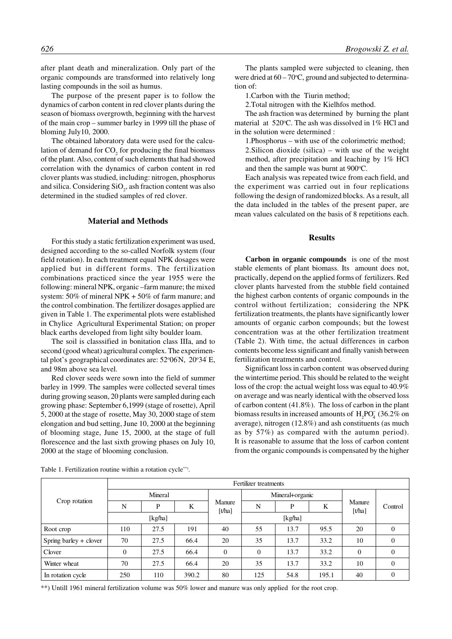after plant death and mineralization. Only part of the organic compounds are transformed into relatively long lasting compounds in the soil as humus.

The purpose of the present paper is to follow the dynamics of carbon content in red clover plants during the season of biomass overgrowth, beginning with the harvest of the main crop – summer barley in 1999 till the phase of bloming July10, 2000.

The obtained laboratory data were used for the calculation of demand for  $CO_2$  for producing the final biomass of the plant. Also, content of such elements that had showed correlation with the dynamics of carbon content in red clover plants was studied, including: nitrogen, phosphorus and silica. Considering  $SiO<sub>2</sub>$ , ash fraction content was also determined in the studied samples of red clover.

# **Material and Methods**

For this study a static fertilization experiment was used, designed according to the so-called Norfolk system (four field rotation). In each treatment equal NPK dosages were applied but in different forms. The fertilization combinations practiced since the year 1955 were the following: mineral NPK, organic –farm manure; the mixed system: 50% of mineral NPK + 50% of farm manure; and the control combination. The fertilizer dosages applied are given in Table 1. The experimental plots were established in Chylice Agricultural Experimental Station; on proper black earths developed from light silty boulder loam.

The soil is classsified in bonitation class IIIa, and to second (good wheat) agricultural complex. The experimental plot's geographical coordinates are: 52°06'N, 20°34'E, and 98m above sea level.

Red clover seeds were sown into the field of summer barley in 1999. The samples were collected several times during growing season, 20 plants were sampled during each growing phase: September 6,1999 (stage of rosette), April 5, 2000 at the stage of rosette, May 30, 2000 stage of stem elongation and bud setting, June 10, 2000 at the beginning of blooming stage, June 15, 2000, at the stage of full florescence and the last sixth growing phases on July 10, 2000 at the stage of blooming conclusion.

The plants sampled were subjected to cleaning, then were dried at  $60 - 70$ °C, ground and subjected to determination of:

1.Carbon with the Tiurin method;

2.Total nitrogen with the Kielhfos method.

The ash fraction was determined by burning the plant material at 520°C. The ash was dissolved in 1% HCl and in the solution were determined :

1.Phosphorus – with use of the colorimetric method; 2.Silicon dioxide (silica) – with use of the weight method, after precipitation and leaching by 1% HCl and then the sample was burnt at 900°C.

Each analysis was repeated twice from each field, and the experiment was carried out in four replications following the design of randomized blocks. As a result, all the data included in the tables of the present paper, are mean values calculated on the basis of 8 repetitions each.

### **Results**

**Carbon in organic compounds** is one of the most stable elements of plant biomass. Its amount does not, practically, depend on the applied forms of fertilizers. Red clover plants harvested from the stubble field contained the highest carbon contents of organic compounds in the control without fertilization; considering the NPK fertilization treatments, the plants have significantly lower amounts of organic carbon compounds; but the lowest concentration was at the other fertilization treatment (Table 2). With time, the actual differences in carbon contents become less significant and finally vanish between fertilization treatments and control.

Significant loss in carbon content was observed during the wintertime period. This should be related to the weight loss of the crop: the actual weight loss was equal to 40.9% on average and was nearly identical with the observed loss of carbon content (41.8%). The loss of carbon in the plant biomass results in increased amounts of  $H_2PO_4^{\sim}$  (36.2% on average), nitrogen (12.8%) and ash constituents (as much as by 57%) as compared with the autumn period). It is reasonable to assume that the loss of carbon content from the organic compounds is compensated by the higher

| Crop rotation          | Fertilizer treatments |         |       |                                         |          |                 |       |                                         |                |  |  |
|------------------------|-----------------------|---------|-------|-----------------------------------------|----------|-----------------|-------|-----------------------------------------|----------------|--|--|
|                        |                       | Mineral |       |                                         |          | Mineral+organic |       |                                         |                |  |  |
|                        | N                     | P       | K     | Manure<br>$\lceil t / \text{ha} \rceil$ | N        | P               | K     | Manure<br>$\lceil t / \text{ha} \rceil$ | Control        |  |  |
|                        |                       | [kg/ha] |       |                                         |          | [kg/ha]         |       |                                         |                |  |  |
| Root crop              | 110                   | 27.5    | 191   | 40                                      | 55       | 13.7            | 95.5  | 20                                      | $\overline{0}$ |  |  |
| Spring barley + clover | 70                    | 27.5    | 66.4  | 20                                      | 35       | 13.7            | 33.2  | 10                                      | $\theta$       |  |  |
| Clover                 | $\overline{0}$        | 27.5    | 66.4  | $\Omega$                                | $\theta$ | 13.7            | 33.2  | $\Omega$                                | $\overline{0}$ |  |  |
| Winter wheat           | 70                    | 27.5    | 66.4  | 20                                      | 35       | 13.7            | 33.2  | 10                                      | $\overline{0}$ |  |  |
| In rotation cycle      | 250                   | 110     | 390.2 | 80                                      | 125      | 54.8            | 195.1 | 40                                      | $\mathbf{0}$   |  |  |

Table 1. Fertilization routine within a rotation cycle\*\*).

\*\*) Untill 1961 mineral fertilization volume was 50% lower and manure was only applied for the root crop.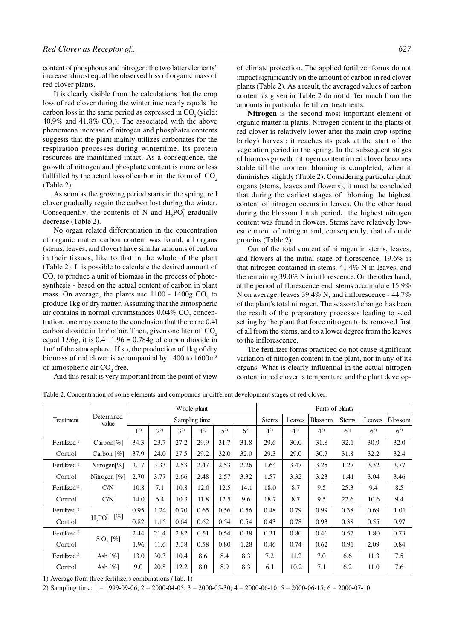content of phosphorus and nitrogen: the two latter elements' increase almost equal the observed loss of organic mass of red clover plants.

It is clearly visible from the calculations that the crop loss of red clover during the wintertime nearly equals the carbon loss in the same period as expressed in  $CO<sub>2</sub>$  (yield: 40.9% and 41.8%  $CO<sub>2</sub>$ ). The associated with the above phenomena increase of nitrogen and phosphates contents suggests that the plant mainly utilizes carbonates for the respiration processes during wintertime. Its protein resources are maintained intact. As a consequence, the growth of nitrogen and phosphate content is more or less fullfilled by the actual loss of carbon in the form of  $CO<sub>2</sub>$ (Table 2).

As soon as the growing period starts in the spring, red clover gradually regain the carbon lost during the winter. Consequently, the contents of N and  $H_2PO_4$  gradually decrease (Table 2).

in their tissues, like to that in the whole of the plant (Table 2). It is possible to calculate the desired amount of  $CO<sub>2</sub>$  to produce a unit of biomass in the process of photosynthesis - based on the actual content of carbon in plant mass. On average, the plants use  $1100 - 1400g$  CO<sub>2</sub> to produce 1kg of dry matter. Assuming that the atmospheric air contains in normal circumstances  $0.04\%$  CO<sub>2</sub> concentration, one may come to the conclusion that there are 0.4l carbon dioxide in  $1m^3$  of air. Then, given one liter of  $CO_2$ equal 1.96g, it is  $0.4 \cdot 1.96 = 0.784g$  of carbon dioxide in 1m3 of the atmosphere. If so, the production of 1kg of dry biomass of red clover is accompanied by 1400 to 1600m<sup>3</sup> of atmospheric air  $CO<sub>2</sub>$  free. No organ related differentiation in the concentration of organic matter carbon content was found; all organs (stems, leaves, and flover) have similar amounts of carbon

And this result is very important from the point of view

of climate protection. The applied fertilizer forms do not impact significantly on the amount of carbon in red clover plants (Table 2). As a result, the averaged values of carbon content as given in Table 2 do not differ much from the amounts in particular fertilizer treatments.

**Nitrogen** is the second most important element of organic matter in plants. Nitrogen content in the plants of red clover is relatively lower after the main crop (spring barley) harvest; it reaches its peak at the start of the vegetation period in the spring. In the subsequent stages of biomass growth nitrogen content in red clover becomes stable till the moment bloming is completed, when it diminishes slightly (Table 2). Considering particular plant organs (stems, leaves and flowers), it must be concluded that during the earliest stages of bloming the highest content of nitrogen occurs in leaves. On the other hand during the blossom finish period, the highest nitrogen content was found in flowers. Stems have relatively lowest content of nitrogen and, consequently, that of crude proteins (Table 2).

Out of the total content of nitrogen in stems, leaves, and flowers at the initial stage of florescence, 19.6% is that nitrogen contained in stems, 41.4% N in leaves, and the remaining 39.0% N in inflorescence. On the other hand, at the period of florescence end, stems accumulate 15.9% N on average, leaves 39.4% N, and inflorescence - 44.7% of the plant's total nitrogen. The seasonal change has been the result of the preparatory processes leading to seed setting by the plant that force nitrogen to be removed first of all from the stems, and to a lower degree from the leaves to the inflorescence.

The fertilizer forms practiced do not cause significant variation of nitrogen content in the plant, nor in any of its organs. What is clearly influential in the actual nitrogen content in red clover is temperature and the plant develop-

|                          | Determined<br>value   | Whole plant    |         |         |         |         |         | Parts of plants |         |                |              |         |                |
|--------------------------|-----------------------|----------------|---------|---------|---------|---------|---------|-----------------|---------|----------------|--------------|---------|----------------|
| Treatment                |                       | Sampling time  |         |         |         |         |         | <b>Stems</b>    | Leaves  | <b>Blossom</b> | <b>Stems</b> | Leaves  | <b>Blossom</b> |
|                          |                       | 1 <sup>2</sup> | $2^{2}$ | $3^{2}$ | $4^{2}$ | $5^{2}$ | $6^{2}$ | $4^{2}$         | $4^{2}$ | $4^{2}$        | $6^{2}$      | $6^{2}$ | $6^{2}$        |
| Fertilized <sup>1)</sup> | $Carbon[\%]$          | 34.3           | 23.7    | 27.2    | 29.9    | 31.7    | 31.8    | 29.6            | 30.0    | 31.8           | 32.1         | 30.9    | 32.0           |
| Control                  | Carbon $[\%]$         | 37.9           | 24.0    | 27.5    | 29.2    | 32.0    | 32.0    | 29.3            | 29.0    | 30.7           | 31.8         | 32.2    | 32.4           |
| Fertilized <sup>1)</sup> | Nitrogen[ $%$ ]       | 3.17           | 3.33    | 2.53    | 2.47    | 2.53    | 2.26    | 1.64            | 3.47    | 3.25           | 1.27         | 3.32    | 3.77           |
| Control                  | Nitrogen $[\%]$       | 2.70           | 3.77    | 2.66    | 2.48    | 2.57    | 3.32    | 1.57            | 3.32    | 3.23           | 1.41         | 3.04    | 3.46           |
| Fertilized <sup>1)</sup> | C/N                   | 10.8           | 7.1     | 10.8    | 12.0    | 12.5    | 14.1    | 18.0            | 8.7     | 9.5            | 25.3         | 9.4     | 8.5            |
| Control                  | C/N                   | 14.0           | 6.4     | 10.3    | 11.8    | 12.5    | 9.6     | 18.7            | 8.7     | 9.5            | 22.6         | 10.6    | 9.4            |
| Fertilized <sup>1)</sup> | $[\%]$<br>$H_2PO4$    | 0.95           | 1.24    | 0.70    | 0.65    | 0.56    | 0.56    | 0.48            | 0.79    | 0.99           | 0.38         | 0.69    | 1.01           |
| Control                  |                       | 0.82           | 1.15    | 0.64    | 0.62    | 0.54    | 0.54    | 0.43            | 0.78    | 0.93           | 0.38         | 0.55    | 0.97           |
| Fertilized <sup>1)</sup> | $SiO, [\%]$           | 2.44           | 21.4    | 2.82    | 0.51    | 0.54    | 0.38    | 0.31            | 0.80    | 0.46           | 0.57         | 1.80    | 0.73           |
| Control                  |                       | 1.96           | 11.6    | 3.38    | 0.58    | 0.80    | 1.28    | 0.46            | 0.74    | 0.62           | 0.91         | 2.09    | 0.84           |
| Fertilized <sup>1</sup>  | Ash $\lceil\% \rceil$ | 13.0           | 30.3    | 10.4    | 8.6     | 8.4     | 8.3     | 7.2             | 11.2    | 7.0            | 6.6          | 11.3    | 7.5            |
| Control                  | Ash $\lceil\% \rceil$ | 9.0            | 20.8    | 12.2    | 8.0     | 8.9     | 8.3     | 6.1             | 10.2    | 7.1            | 6.2          | 11.0    | 7.6            |

Table 2. Concentration of some elements and compounds in different development stages of red clover.

1) Average from three fertilizers combinations (Tab. 1)

2) Sampling time:  $1 = 1999-09-06$ ;  $2 = 2000-04-05$ ;  $3 = 2000-05-30$ ;  $4 = 2000-06-10$ ;  $5 = 2000-06-15$ ;  $6 = 2000-07-10$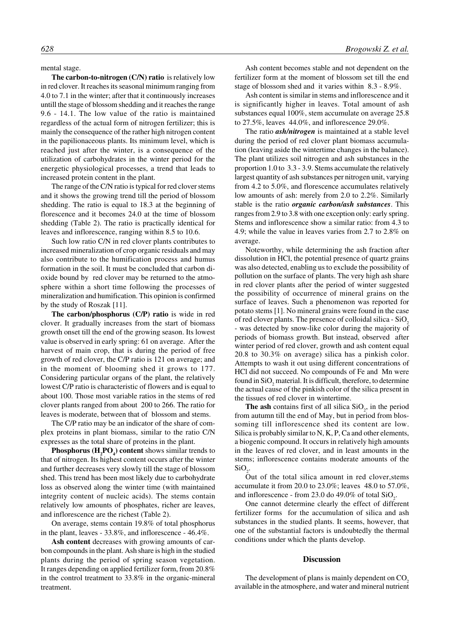mental stage.

**The carbon-to-nitrogen (C/N) ratio** is relatively low in red clover. It reaches its seasonal minimum ranging from 4.0 to 7.1 in the winter; after that it continuously increases untill the stage of blossom shedding and it reaches the range 9.6 - 14.1. The low value of the ratio is maintained regardless of the actual form of nitrogen fertilizer; this is mainly the consequence of the rather high nitrogen content in the papilionaceous plants. Its minimum level, which is reached just after the winter, is a consequence of the utilization of carbohydrates in the winter period for the energetic physiological processes, a trend that leads to increased protein content in the plant.

The range of the C/N ratio is typical for red clover stems and it shows the growing trend till the period of blossom shedding. The ratio is equal to 18.3 at the beginning of florescence and it becomes 24.0 at the time of blossom shedding (Table 2). The ratio is practically identical for leaves and inflorescence, ranging within 8.5 to 10.6.

Such low ratio C/N in red clover plants contributes to increased mineralization of crop organic residuals and may also contribute to the humification process and humus formation in the soil. It must be concluded that carbon dioxide bound by red clover may be returned to the atmosphere within a short time following the processes of mineralization and humification. This opinion is confirmed by the study of Roszak [11].

**The carbon/phosphorus (C/P) ratio** is wide in red clover. It gradually increases from the start of biomass growth onset till the end of the growing season. Its lowest value is observed in early spring: 61 on average. After the harvest of main crop, that is during the period of free growth of red clover, the C/P ratio is 121 on average; and in the moment of blooming shed it grows to 177. Considering particular organs of the plant, the relatively lowest C/P ratio is characteristic of flowers and is equal to about 100. Those most variable ratios in the stems of red clover plants ranged from about 200 to 266. The ratio for leaves is moderate, between that of blossom and stems.

The C/P ratio may be an indicator of the share of complex proteins in plant biomass, similar to the ratio C/N expresses as the total share of proteins in the plant.

**Phosphorus (H<sub>2</sub>PO<sub>4</sub>) content** shows similar trends to that of nitrogen. Its highest content occurs after the winter and further decreases very slowly till the stage of blossom shed. This trend has been most likely due to carbohydrate loss as observed along the winter time (with maintained integrity content of nucleic acids). The stems contain relatively low amounts of phosphates, richer are leaves, and inflorescence are the richest (Table 2).

On average, stems contain 19.8% of total phosphorus in the plant, leaves - 33.8%, and inflorescence - 46.4%.

**Ash content** decreases with growing amounts of carbon compounds in the plant. Ash share is high in the studied plants during the period of spring season vegetation. It ranges depending on applied fertilizer form, from 20.8% in the control treatment to 33.8% in the organic-mineral treatment.

Ash content becomes stable and not dependent on the fertilizer form at the moment of blossom set till the end stage of blossom shed and it varies within 8.3 - 8.9%.

Ash content is similar in stems and inflorescence and it is significantly higher in leaves. Total amount of ash substances equal 100%, stem accumulate on average 25.8 to 27.5%, leaves 44.0%, and inflorescence 29.0%.

The ratio *ash/nitrogen* is maintained at a stable level during the period of red clover plant biomass accumulation (leaving aside the wintertime changes in the balance). The plant utilizes soil nitrogen and ash substances in the proportion 1.0 to 3.3 - 3.9. Stems accumulate the relatively largest quantity of ash substances per nitrogen unit, varying from 4.2 to 5.0%, and florescence accumulates relatively low amounts of ash: merely from 2.0 to 2.2%. Similarly stable is the ratio *organic carbon/ash substances*. This ranges from 2.9 to 3.8 with one exception only: early spring. Stems and inflorescence show a similar ratio: from 4.3 to 4.9; while the value in leaves varies from 2.7 to 2.8% on average.

Noteworthy, while determining the ash fraction after dissolution in HCl, the potential presence of quartz grains was also detected, enabling us to exclude the possibility of pollution on the surface of plants. The very high ash share in red clover plants after the period of winter suggested the possibility of occurrence of mineral grains on the surface of leaves. Such a phenomenon was reported for potato stems [1]. No mineral grains were found in the case of red clover plants. The presence of colloidal silica -  $SiO<sub>2</sub>$ - was detected by snow-like color during the majority of periods of biomass growth. But instead, observed after winter period of red clover, growth and ash content equal 20.8 to 30.3% on average) silica has a pinkish color. Attempts to wash it out using different concentrations of HCl did not succeed. No compounds of Fe and Mn were found in  $\mathrm{SiO}_2$  material. It is difficult, therefore, to determine the actual cause of the pinkish color of the silica present in the tissues of red clover in wintertime.

**The ash** contains first of all silica  $SiO_2$ , in the period from autumn till the end of May, but in period from blossoming till inflorescence shed its content are low. Silica is probably similar to N, K, P, Ca and other elements, a biogenic compound. It occurs in relatively high amounts in the leaves of red clover, and in least amounts in the stems; inflorescence contains moderate amounts of the  $SiO<sub>2</sub>$ .

Out of the total silica amount in red clover,stems accumulate it from 20.0 to 23.0%; leaves 48.0 to 57.0%, and inflorescence - from 23.0 do 49.0% of total  $SiO_2$ .

One cannot determine clearly the effect of different fertilizer forms for the accumulation of silica and ash substances in the studied plants. It seems, however, that one of the substantial factors is undoubtedly the thermal conditions under which the plants develop.

## **Discussion**

The development of plans is mainly dependent on  $CO<sub>2</sub>$ available in the atmosphere, and water and mineral nutrient